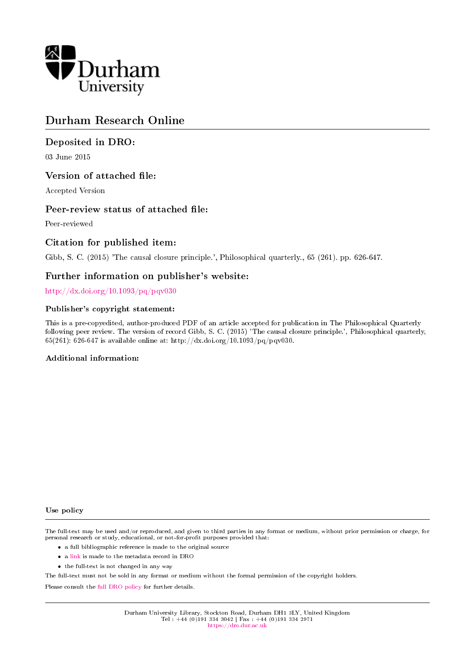

# Durham Research Online

# Deposited in DRO:

03 June 2015

# Version of attached file:

Accepted Version

# Peer-review status of attached file:

Peer-reviewed

# Citation for published item:

Gibb, S. C. (2015) 'The causal closure principle.', Philosophical quarterly., 65 (261). pp. 626-647.

## Further information on publisher's website:

<http://dx.doi.org/10.1093/pq/pqv030>

#### Publisher's copyright statement:

This is a pre-copyedited, author-produced PDF of an article accepted for publication in The Philosophical Quarterly following peer review. The version of record Gibb, S. C. (2015) 'The causal closure principle.', Philosophical quarterly, 65(261): 626-647 is available online at: http://dx.doi.org/10.1093/pq/pqv030.

#### Additional information:

#### Use policy

The full-text may be used and/or reproduced, and given to third parties in any format or medium, without prior permission or charge, for personal research or study, educational, or not-for-profit purposes provided that:

- a full bibliographic reference is made to the original source
- a [link](http://dro.dur.ac.uk/15632/) is made to the metadata record in DRO
- the full-text is not changed in any way

The full-text must not be sold in any format or medium without the formal permission of the copyright holders.

Please consult the [full DRO policy](https://dro.dur.ac.uk/policies/usepolicy.pdf) for further details.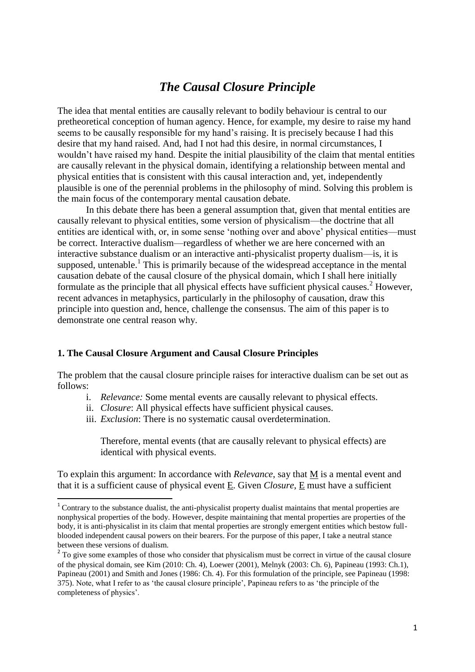# *The Causal Closure Principle*

The idea that mental entities are causally relevant to bodily behaviour is central to our pretheoretical conception of human agency. Hence, for example, my desire to raise my hand seems to be causally responsible for my hand's raising. It is precisely because I had this desire that my hand raised. And, had I not had this desire, in normal circumstances, I wouldn't have raised my hand. Despite the initial plausibility of the claim that mental entities are causally relevant in the physical domain, identifying a relationship between mental and physical entities that is consistent with this causal interaction and, yet, independently plausible is one of the perennial problems in the philosophy of mind. Solving this problem is the main focus of the contemporary mental causation debate.

In this debate there has been a general assumption that, given that mental entities are causally relevant to physical entities, some version of physicalism—the doctrine that all entities are identical with, or, in some sense 'nothing over and above' physical entities—must be correct. Interactive dualism—regardless of whether we are here concerned with an interactive substance dualism or an interactive anti-physicalist property dualism—is, it is supposed, untenable.<sup>1</sup> This is primarily because of the widespread acceptance in the mental causation debate of the causal closure of the physical domain, which I shall here initially formulate as the principle that all physical effects have sufficient physical causes.<sup>2</sup> However, recent advances in metaphysics, particularly in the philosophy of causation, draw this principle into question and, hence, challenge the consensus. The aim of this paper is to demonstrate one central reason why.

# **1. The Causal Closure Argument and Causal Closure Principles**

1

The problem that the causal closure principle raises for interactive dualism can be set out as follows:

- i. *Relevance:* Some mental events are causally relevant to physical effects.
- ii. *Closure*: All physical effects have sufficient physical causes.
- iii. *Exclusion*: There is no systematic causal overdetermination.

Therefore, mental events (that are causally relevant to physical effects) are identical with physical events.

To explain this argument: In accordance with *Relevance*, say that M is a mental event and that it is a sufficient cause of physical event E. Given *Closure*, E must have a sufficient

<sup>&</sup>lt;sup>1</sup> Contrary to the substance dualist, the anti-physicalist property dualist maintains that mental properties are nonphysical properties of the body. However, despite maintaining that mental properties are properties of the body, it is anti-physicalist in its claim that mental properties are strongly emergent entities which bestow fullblooded independent causal powers on their bearers. For the purpose of this paper, I take a neutral stance between these versions of dualism.

<sup>&</sup>lt;sup>2</sup> To give some examples of those who consider that physicalism must be correct in virtue of the causal closure of the physical domain, see Kim (2010: Ch. 4), Loewer (2001), Melnyk (2003: Ch. 6), Papineau (1993: Ch.1), Papineau (2001) and Smith and Jones (1986: Ch. 4). For this formulation of the principle, see Papineau (1998: 375). Note, what I refer to as 'the causal closure principle', Papineau refers to as 'the principle of the completeness of physics'.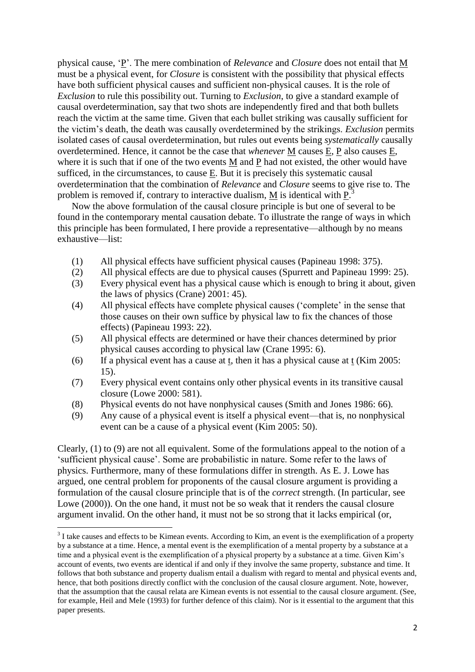physical cause, 'P'. The mere combination of *Relevance* and *Closure* does not entail that M must be a physical event, for *Closure* is consistent with the possibility that physical effects have both sufficient physical causes and sufficient non-physical causes. It is the role of *Exclusion* to rule this possibility out. Turning to *Exclusion*, to give a standard example of causal overdetermination, say that two shots are independently fired and that both bullets reach the victim at the same time. Given that each bullet striking was causally sufficient for the victim's death, the death was causally overdetermined by the strikings. *Exclusion* permits isolated cases of causal overdetermination, but rules out events being *systematically* causally overdetermined. Hence, it cannot be the case that *whenever* M causes E, P also causes E, where it is such that if one of the two events M and P had not existed, the other would have sufficed, in the circumstances, to cause  $E$ . But it is precisely this systematic causal overdetermination that the combination of *Relevance* and *Closure* seems to give rise to. The problem is removed if, contrary to interactive dualism,  $\underline{M}$  is identical with  $\underline{P}^3$ .

Now the above formulation of the causal closure principle is but one of several to be found in the contemporary mental causation debate. To illustrate the range of ways in which this principle has been formulated, I here provide a representative—although by no means exhaustive—list:

- (1) All physical effects have sufficient physical causes (Papineau 1998: 375).
- (2) All physical effects are due to physical causes (Spurrett and Papineau 1999: 25).
- (3) Every physical event has a physical cause which is enough to bring it about, given the laws of physics (Crane) 2001: 45).
- (4) All physical effects have complete physical causes ('complete' in the sense that those causes on their own suffice by physical law to fix the chances of those effects) (Papineau 1993: 22).
- (5) All physical effects are determined or have their chances determined by prior physical causes according to physical law (Crane 1995: 6).
- (6) If a physical event has a cause at  $t$ , then it has a physical cause at  $t$  (Kim 2005:</u></u> 15).
- (7) Every physical event contains only other physical events in its transitive causal closure (Lowe 2000: 581).
- (8) Physical events do not have nonphysical causes (Smith and Jones 1986: 66).
- (9) Any cause of a physical event is itself a physical event—that is, no nonphysical event can be a cause of a physical event (Kim 2005: 50).

Clearly, (1) to (9) are not all equivalent. Some of the formulations appeal to the notion of a 'sufficient physical cause'. Some are probabilistic in nature. Some refer to the laws of physics. Furthermore, many of these formulations differ in strength. As E. J. Lowe has argued, one central problem for proponents of the causal closure argument is providing a formulation of the causal closure principle that is of the *correct* strength. (In particular, see Lowe (2000)). On the one hand, it must not be so weak that it renders the causal closure argument invalid. On the other hand, it must not be so strong that it lacks empirical (or,

 $\overline{a}$ 

 $3$  I take causes and effects to be Kimean events. According to Kim, an event is the exemplification of a property by a substance at a time. Hence, a mental event is the exemplification of a mental property by a substance at a time and a physical event is the exemplification of a physical property by a substance at a time. Given Kim's account of events, two events are identical if and only if they involve the same property, substance and time. It follows that both substance and property dualism entail a dualism with regard to mental and physical events and, hence, that both positions directly conflict with the conclusion of the causal closure argument. Note, however, that the assumption that the causal relata are Kimean events is not essential to the causal closure argument. (See, for example, Heil and Mele (1993) for further defence of this claim). Nor is it essential to the argument that this paper presents.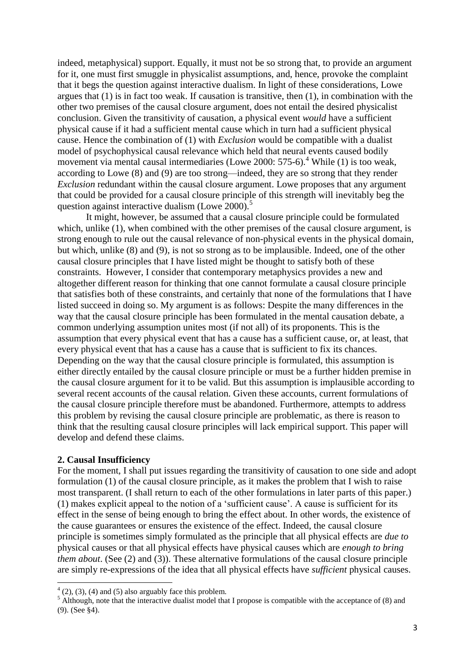indeed, metaphysical) support. Equally, it must not be so strong that, to provide an argument for it, one must first smuggle in physicalist assumptions, and, hence, provoke the complaint that it begs the question against interactive dualism. In light of these considerations, Lowe argues that (1) is in fact too weak. If causation is transitive, then (1), in combination with the other two premises of the causal closure argument, does not entail the desired physicalist conclusion. Given the transitivity of causation, a physical event *would* have a sufficient physical cause if it had a sufficient mental cause which in turn had a sufficient physical cause. Hence the combination of (1) with *Exclusion* would be compatible with a dualist model of psychophysical causal relevance which held that neural events caused bodily movement via mental causal intermediaries (Lowe 2000:  $575-6$ ).<sup>4</sup> While (1) is too weak, according to Lowe (8) and (9) are too strong—indeed, they are so strong that they render *Exclusion* redundant within the causal closure argument. Lowe proposes that any argument that could be provided for a causal closure principle of this strength will inevitably beg the question against interactive dualism (Lowe  $2000$ ).<sup>5</sup>

It might, however, be assumed that a causal closure principle could be formulated which, unlike (1), when combined with the other premises of the causal closure argument, is strong enough to rule out the causal relevance of non-physical events in the physical domain, but which, unlike (8) and (9), is not so strong as to be implausible. Indeed, one of the other causal closure principles that I have listed might be thought to satisfy both of these constraints. However, I consider that contemporary metaphysics provides a new and altogether different reason for thinking that one cannot formulate a causal closure principle that satisfies both of these constraints, and certainly that none of the formulations that I have listed succeed in doing so. My argument is as follows: Despite the many differences in the way that the causal closure principle has been formulated in the mental causation debate, a common underlying assumption unites most (if not all) of its proponents. This is the assumption that every physical event that has a cause has a sufficient cause, or, at least, that every physical event that has a cause has a cause that is sufficient to fix its chances. Depending on the way that the causal closure principle is formulated, this assumption is either directly entailed by the causal closure principle or must be a further hidden premise in the causal closure argument for it to be valid. But this assumption is implausible according to several recent accounts of the causal relation. Given these accounts, current formulations of the causal closure principle therefore must be abandoned. Furthermore, attempts to address this problem by revising the causal closure principle are problematic, as there is reason to think that the resulting causal closure principles will lack empirical support. This paper will develop and defend these claims.

### **2. Causal Insufficiency**

For the moment, I shall put issues regarding the transitivity of causation to one side and adopt formulation (1) of the causal closure principle, as it makes the problem that I wish to raise most transparent. (I shall return to each of the other formulations in later parts of this paper.) (1) makes explicit appeal to the notion of a 'sufficient cause'. A cause is sufficient for its effect in the sense of being enough to bring the effect about. In other words, the existence of the cause guarantees or ensures the existence of the effect. Indeed, the causal closure principle is sometimes simply formulated as the principle that all physical effects are *due to* physical causes or that all physical effects have physical causes which are *enough to bring them about*. (See (2) and (3)). These alternative formulations of the causal closure principle are simply re-expressions of the idea that all physical effects have *sufficient* physical causes.

 $\overline{A^4(2)}$ , (3), (4) and (5) also arguably face this problem.

 $\frac{5}{5}$  Although, note that the interactive dualist model that I propose is compatible with the acceptance of (8) and (9). (See §4).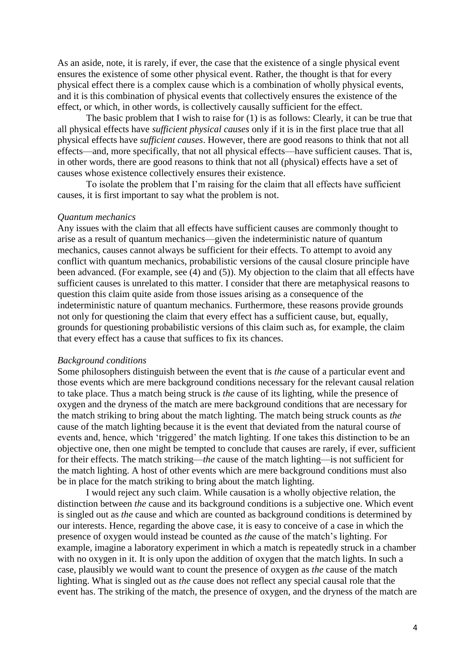As an aside, note, it is rarely, if ever, the case that the existence of a single physical event ensures the existence of some other physical event. Rather, the thought is that for every physical effect there is a complex cause which is a combination of wholly physical events, and it is this combination of physical events that collectively ensures the existence of the effect, or which, in other words, is collectively causally sufficient for the effect.

The basic problem that I wish to raise for (1) is as follows: Clearly, it can be true that all physical effects have *sufficient physical causes* only if it is in the first place true that all physical effects have *sufficient causes*. However, there are good reasons to think that not all effects—and, more specifically, that not all physical effects—have sufficient causes. That is, in other words, there are good reasons to think that not all (physical) effects have a set of causes whose existence collectively ensures their existence.

To isolate the problem that I'm raising for the claim that all effects have sufficient causes, it is first important to say what the problem is not.

#### *Quantum mechanics*

Any issues with the claim that all effects have sufficient causes are commonly thought to arise as a result of quantum mechanics—given the indeterministic nature of quantum mechanics, causes cannot always be sufficient for their effects. To attempt to avoid any conflict with quantum mechanics, probabilistic versions of the causal closure principle have been advanced. (For example, see (4) and (5)). My objection to the claim that all effects have sufficient causes is unrelated to this matter. I consider that there are metaphysical reasons to question this claim quite aside from those issues arising as a consequence of the indeterministic nature of quantum mechanics. Furthermore, these reasons provide grounds not only for questioning the claim that every effect has a sufficient cause, but, equally, grounds for questioning probabilistic versions of this claim such as, for example, the claim that every effect has a cause that suffices to fix its chances.

#### *Background conditions*

Some philosophers distinguish between the event that is *the* cause of a particular event and those events which are mere background conditions necessary for the relevant causal relation to take place. Thus a match being struck is *the* cause of its lighting, while the presence of oxygen and the dryness of the match are mere background conditions that are necessary for the match striking to bring about the match lighting. The match being struck counts as *the* cause of the match lighting because it is the event that deviated from the natural course of events and, hence, which 'triggered' the match lighting. If one takes this distinction to be an objective one, then one might be tempted to conclude that causes are rarely, if ever, sufficient for their effects. The match striking—*the* cause of the match lighting—is not sufficient for the match lighting. A host of other events which are mere background conditions must also be in place for the match striking to bring about the match lighting.

I would reject any such claim. While causation is a wholly objective relation, the distinction between *the* cause and its background conditions is a subjective one. Which event is singled out as *the* cause and which are counted as background conditions is determined by our interests. Hence, regarding the above case, it is easy to conceive of a case in which the presence of oxygen would instead be counted as *the* cause of the match's lighting. For example, imagine a laboratory experiment in which a match is repeatedly struck in a chamber with no oxygen in it. It is only upon the addition of oxygen that the match lights. In such a case, plausibly we would want to count the presence of oxygen as *the* cause of the match lighting. What is singled out as *the* cause does not reflect any special causal role that the event has. The striking of the match, the presence of oxygen, and the dryness of the match are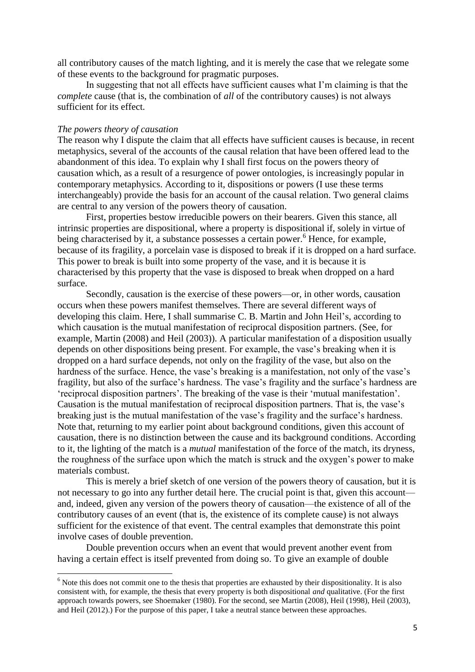all contributory causes of the match lighting, and it is merely the case that we relegate some of these events to the background for pragmatic purposes.

In suggesting that not all effects have sufficient causes what I'm claiming is that the *complete* cause (that is, the combination of *all* of the contributory causes) is not always sufficient for its effect.

#### *The powers theory of causation*

**.** 

The reason why I dispute the claim that all effects have sufficient causes is because, in recent metaphysics, several of the accounts of the causal relation that have been offered lead to the abandonment of this idea. To explain why I shall first focus on the powers theory of causation which, as a result of a resurgence of power ontologies, is increasingly popular in contemporary metaphysics. According to it, dispositions or powers (I use these terms interchangeably) provide the basis for an account of the causal relation. Two general claims are central to any version of the powers theory of causation.

First, properties bestow irreducible powers on their bearers. Given this stance, all intrinsic properties are dispositional, where a property is dispositional if, solely in virtue of being characterised by it, a substance possesses a certain power.<sup>6</sup> Hence, for example, because of its fragility, a porcelain vase is disposed to break if it is dropped on a hard surface. This power to break is built into some property of the vase, and it is because it is characterised by this property that the vase is disposed to break when dropped on a hard surface.

Secondly, causation is the exercise of these powers—or, in other words, causation occurs when these powers manifest themselves. There are several different ways of developing this claim. Here, I shall summarise C. B. Martin and John Heil's, according to which causation is the mutual manifestation of reciprocal disposition partners. (See, for example, Martin (2008) and Heil (2003)). A particular manifestation of a disposition usually depends on other dispositions being present. For example, the vase's breaking when it is dropped on a hard surface depends, not only on the fragility of the vase, but also on the hardness of the surface. Hence, the vase's breaking is a manifestation, not only of the vase's fragility, but also of the surface's hardness. The vase's fragility and the surface's hardness are 'reciprocal disposition partners'. The breaking of the vase is their 'mutual manifestation'. Causation is the mutual manifestation of reciprocal disposition partners. That is, the vase's breaking just is the mutual manifestation of the vase's fragility and the surface's hardness. Note that, returning to my earlier point about background conditions, given this account of causation, there is no distinction between the cause and its background conditions. According to it, the lighting of the match is a *mutual* manifestation of the force of the match, its dryness, the roughness of the surface upon which the match is struck and the oxygen's power to make materials combust.

This is merely a brief sketch of one version of the powers theory of causation, but it is not necessary to go into any further detail here. The crucial point is that, given this account and, indeed, given any version of the powers theory of causation—the existence of all of the contributory causes of an event (that is, the existence of its complete cause) is not always sufficient for the existence of that event. The central examples that demonstrate this point involve cases of double prevention.

Double prevention occurs when an event that would prevent another event from having a certain effect is itself prevented from doing so. To give an example of double

 $<sup>6</sup>$  Note this does not commit one to the thesis that properties are exhausted by their dispositionality. It is also</sup> consistent with, for example, the thesis that every property is both dispositional *and* qualitative. (For the first approach towards powers, see Shoemaker (1980). For the second, see Martin (2008), Heil (1998), Heil (2003), and Heil (2012).) For the purpose of this paper, I take a neutral stance between these approaches.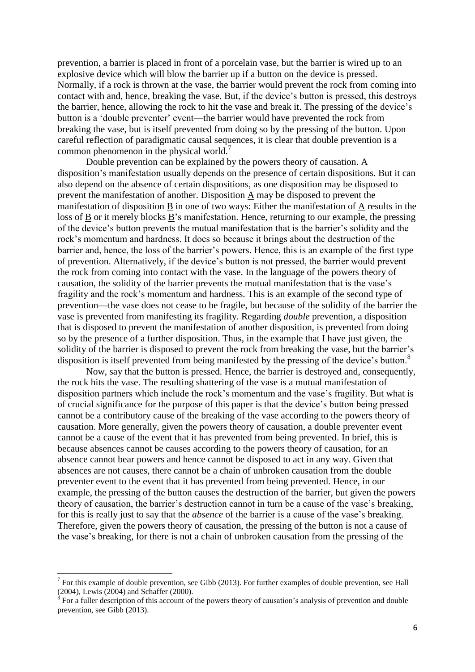prevention, a barrier is placed in front of a porcelain vase, but the barrier is wired up to an explosive device which will blow the barrier up if a button on the device is pressed. Normally, if a rock is thrown at the vase, the barrier would prevent the rock from coming into contact with and, hence, breaking the vase. But, if the device's button is pressed, this destroys the barrier, hence, allowing the rock to hit the vase and break it. The pressing of the device's button is a 'double preventer' event—the barrier would have prevented the rock from breaking the vase, but is itself prevented from doing so by the pressing of the button. Upon careful reflection of paradigmatic causal sequences, it is clear that double prevention is a common phenomenon in the physical world.<sup>7</sup>

Double prevention can be explained by the powers theory of causation. A disposition's manifestation usually depends on the presence of certain dispositions. But it can also depend on the absence of certain dispositions, as one disposition may be disposed to prevent the manifestation of another. Disposition A may be disposed to prevent the manifestation of disposition  $\underline{B}$  in one of two ways: Either the manifestation of A results in the loss of B or it merely blocks B's manifestation. Hence, returning to our example, the pressing of the device's button prevents the mutual manifestation that is the barrier's solidity and the rock's momentum and hardness. It does so because it brings about the destruction of the barrier and, hence, the loss of the barrier's powers. Hence, this is an example of the first type of prevention. Alternatively, if the device's button is not pressed, the barrier would prevent the rock from coming into contact with the vase. In the language of the powers theory of causation, the solidity of the barrier prevents the mutual manifestation that is the vase's fragility and the rock's momentum and hardness. This is an example of the second type of prevention—the vase does not cease to be fragile, but because of the solidity of the barrier the vase is prevented from manifesting its fragility. Regarding *double* prevention, a disposition that is disposed to prevent the manifestation of another disposition, is prevented from doing so by the presence of a further disposition. Thus, in the example that I have just given, the solidity of the barrier is disposed to prevent the rock from breaking the vase, but the barrier's disposition is itself prevented from being manifested by the pressing of the device's button.<sup>8</sup>

Now, say that the button is pressed. Hence, the barrier is destroyed and, consequently, the rock hits the vase. The resulting shattering of the vase is a mutual manifestation of disposition partners which include the rock's momentum and the vase's fragility. But what is of crucial significance for the purpose of this paper is that the device's button being pressed cannot be a contributory cause of the breaking of the vase according to the powers theory of causation. More generally, given the powers theory of causation, a double preventer event cannot be a cause of the event that it has prevented from being prevented. In brief, this is because absences cannot be causes according to the powers theory of causation, for an absence cannot bear powers and hence cannot be disposed to act in any way. Given that absences are not causes, there cannot be a chain of unbroken causation from the double preventer event to the event that it has prevented from being prevented. Hence, in our example, the pressing of the button causes the destruction of the barrier, but given the powers theory of causation, the barrier's destruction cannot in turn be a cause of the vase's breaking, for this is really just to say that the *absence* of the barrier is a cause of the vase's breaking. Therefore, given the powers theory of causation, the pressing of the button is not a cause of the vase's breaking, for there is not a chain of unbroken causation from the pressing of the

 $<sup>7</sup>$  For this example of double prevention, see Gibb (2013). For further examples of double prevention, see Hall</sup>  $(2004)$ , Lewis  $(2004)$  and Schaffer  $(2000)$ .

 $F<sup>8</sup>$  For a fuller description of this account of the powers theory of causation's analysis of prevention and double prevention, see Gibb (2013).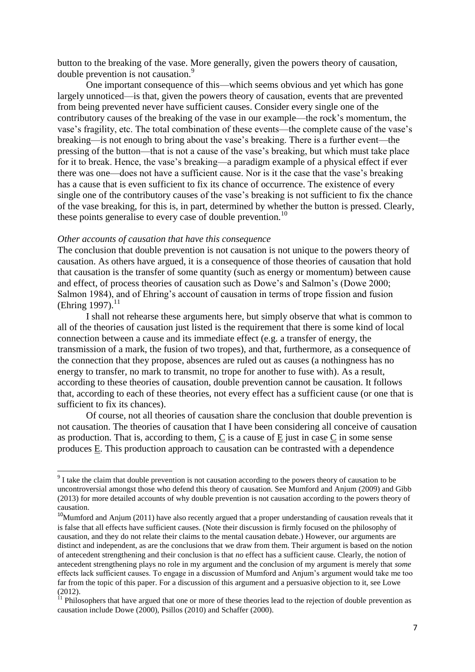button to the breaking of the vase. More generally, given the powers theory of causation, double prevention is not causation.<sup>9</sup>

One important consequence of this—which seems obvious and yet which has gone largely unnoticed—is that, given the powers theory of causation, events that are prevented from being prevented never have sufficient causes. Consider every single one of the contributory causes of the breaking of the vase in our example—the rock's momentum, the vase's fragility, etc. The total combination of these events—the complete cause of the vase's breaking—is not enough to bring about the vase's breaking. There is a further event—the pressing of the button—that is not a cause of the vase's breaking, but which must take place for it to break. Hence, the vase's breaking—a paradigm example of a physical effect if ever there was one—does not have a sufficient cause. Nor is it the case that the vase's breaking has a cause that is even sufficient to fix its chance of occurrence. The existence of every single one of the contributory causes of the vase's breaking is not sufficient to fix the chance of the vase breaking, for this is, in part, determined by whether the button is pressed. Clearly, these points generalise to every case of double prevention.<sup>10</sup>

#### *Other accounts of causation that have this consequence*

The conclusion that double prevention is not causation is not unique to the powers theory of causation. As others have argued, it is a consequence of those theories of causation that hold that causation is the transfer of some quantity (such as energy or momentum) between cause and effect, of process theories of causation such as Dowe's and Salmon's (Dowe 2000; Salmon 1984), and of Ehring's account of causation in terms of trope fission and fusion (Ehring 1997). $^{11}$ 

I shall not rehearse these arguments here, but simply observe that what is common to all of the theories of causation just listed is the requirement that there is some kind of local connection between a cause and its immediate effect (e.g. a transfer of energy, the transmission of a mark, the fusion of two tropes), and that, furthermore, as a consequence of the connection that they propose, absences are ruled out as causes (a nothingness has no energy to transfer, no mark to transmit, no trope for another to fuse with). As a result, according to these theories of causation, double prevention cannot be causation. It follows that, according to each of these theories, not every effect has a sufficient cause (or one that is sufficient to fix its chances).

Of course, not all theories of causation share the conclusion that double prevention is not causation. The theories of causation that I have been considering all conceive of causation as production. That is, according to them, C is a cause of E just in case C in some sense produces E. This production approach to causation can be contrasted with a dependence

<sup>&</sup>lt;sup>9</sup> I take the claim that double prevention is not causation according to the powers theory of causation to be uncontroversial amongst those who defend this theory of causation. See Mumford and Anjum (2009) and Gibb (2013) for more detailed accounts of why double prevention is not causation according to the powers theory of causation.

<sup>&</sup>lt;sup>10</sup>Mumford and Anjum (2011) have also recently argued that a proper understanding of causation reveals that it is false that all effects have sufficient causes. (Note their discussion is firmly focused on the philosophy of causation, and they do not relate their claims to the mental causation debate.) However, our arguments are distinct and independent, as are the conclusions that we draw from them. Their argument is based on the notion of antecedent strengthening and their conclusion is that *no* effect has a sufficient cause. Clearly, the notion of antecedent strengthening plays no role in my argument and the conclusion of my argument is merely that *some* effects lack sufficient causes. To engage in a discussion of Mumford and Anjum's argument would take me too far from the topic of this paper. For a discussion of this argument and a persuasive objection to it, see Lowe (2012).

 $11<sup>11</sup>$  Philosophers that have argued that one or more of these theories lead to the rejection of double prevention as causation include Dowe (2000), Psillos (2010) and Schaffer (2000).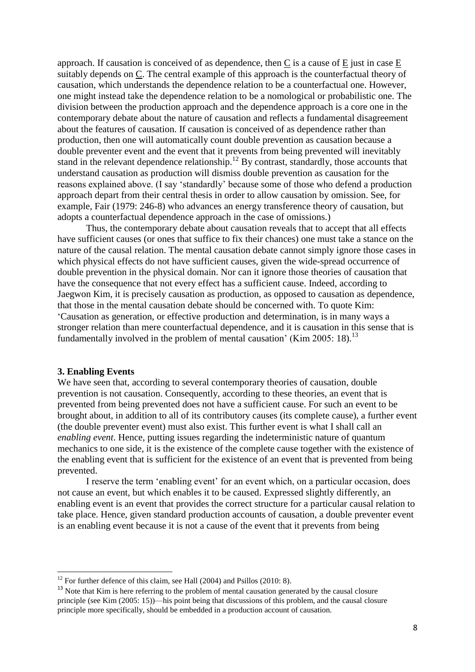approach. If causation is conceived of as dependence, then C is a cause of E just in case E suitably depends on C. The central example of this approach is the counterfactual theory of causation, which understands the dependence relation to be a counterfactual one. However, one might instead take the dependence relation to be a nomological or probabilistic one. The division between the production approach and the dependence approach is a core one in the contemporary debate about the nature of causation and reflects a fundamental disagreement about the features of causation. If causation is conceived of as dependence rather than production, then one will automatically count double prevention as causation because a double preventer event and the event that it prevents from being prevented will inevitably stand in the relevant dependence relationship.<sup>12</sup> By contrast, standardly, those accounts that understand causation as production will dismiss double prevention as causation for the reasons explained above. (I say 'standardly' because some of those who defend a production approach depart from their central thesis in order to allow causation by omission. See, for example, Fair (1979: 246-8) who advances an energy transference theory of causation, but adopts a counterfactual dependence approach in the case of omissions.)

Thus, the contemporary debate about causation reveals that to accept that all effects have sufficient causes (or ones that suffice to fix their chances) one must take a stance on the nature of the causal relation. The mental causation debate cannot simply ignore those cases in which physical effects do not have sufficient causes, given the wide-spread occurrence of double prevention in the physical domain. Nor can it ignore those theories of causation that have the consequence that not every effect has a sufficient cause. Indeed, according to Jaegwon Kim, it is precisely causation as production, as opposed to causation as dependence, that those in the mental causation debate should be concerned with. To quote Kim: 'Causation as generation, or effective production and determination, is in many ways a stronger relation than mere counterfactual dependence, and it is causation in this sense that is fundamentally involved in the problem of mental causation' (Kim 2005: 18).<sup>13</sup>

### **3. Enabling Events**

**.** 

We have seen that, according to several contemporary theories of causation, double prevention is not causation. Consequently, according to these theories, an event that is prevented from being prevented does not have a sufficient cause. For such an event to be brought about, in addition to all of its contributory causes (its complete cause), a further event (the double preventer event) must also exist. This further event is what I shall call an *enabling event*. Hence, putting issues regarding the indeterministic nature of quantum mechanics to one side, it is the existence of the complete cause together with the existence of the enabling event that is sufficient for the existence of an event that is prevented from being prevented.

I reserve the term 'enabling event' for an event which, on a particular occasion, does not cause an event, but which enables it to be caused. Expressed slightly differently, an enabling event is an event that provides the correct structure for a particular causal relation to take place. Hence, given standard production accounts of causation, a double preventer event is an enabling event because it is not a cause of the event that it prevents from being

 $12$  For further defence of this claim, see Hall (2004) and Psillos (2010: 8).

<sup>&</sup>lt;sup>13</sup> Note that Kim is here referring to the problem of mental causation generated by the causal closure principle (see Kim (2005: 15))—his point being that discussions of this problem, and the causal closure principle more specifically, should be embedded in a production account of causation.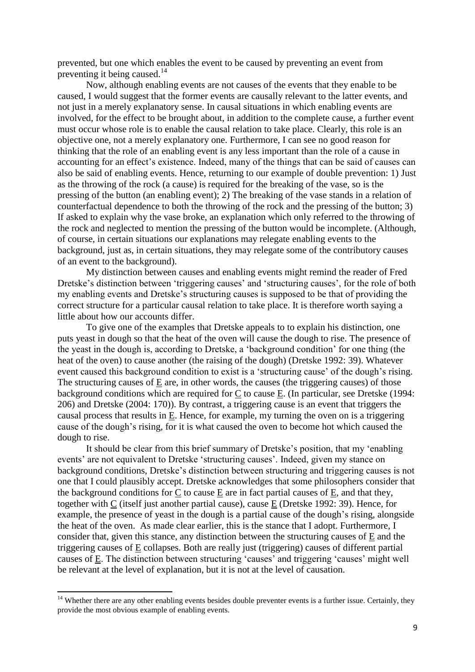prevented, but one which enables the event to be caused by preventing an event from preventing it being caused.<sup>14</sup>

Now, although enabling events are not causes of the events that they enable to be caused, I would suggest that the former events are causally relevant to the latter events, and not just in a merely explanatory sense. In causal situations in which enabling events are involved, for the effect to be brought about, in addition to the complete cause, a further event must occur whose role is to enable the causal relation to take place. Clearly, this role is an objective one, not a merely explanatory one. Furthermore, I can see no good reason for thinking that the role of an enabling event is any less important than the role of a cause in accounting for an effect's existence. Indeed, many of the things that can be said of causes can also be said of enabling events. Hence, returning to our example of double prevention: 1) Just as the throwing of the rock (a cause) is required for the breaking of the vase, so is the pressing of the button (an enabling event); 2) The breaking of the vase stands in a relation of counterfactual dependence to both the throwing of the rock and the pressing of the button; 3) If asked to explain why the vase broke, an explanation which only referred to the throwing of the rock and neglected to mention the pressing of the button would be incomplete. (Although, of course, in certain situations our explanations may relegate enabling events to the background, just as, in certain situations, they may relegate some of the contributory causes of an event to the background).

My distinction between causes and enabling events might remind the reader of Fred Dretske's distinction between 'triggering causes' and 'structuring causes', for the role of both my enabling events and Dretske's structuring causes is supposed to be that of providing the correct structure for a particular causal relation to take place. It is therefore worth saying a little about how our accounts differ.

To give one of the examples that Dretske appeals to to explain his distinction, one puts yeast in dough so that the heat of the oven will cause the dough to rise. The presence of the yeast in the dough is, according to Dretske, a 'background condition' for one thing (the heat of the oven) to cause another (the raising of the dough) (Dretske 1992: 39). Whatever event caused this background condition to exist is a 'structuring cause' of the dough's rising. The structuring causes of E are, in other words, the causes (the triggering causes) of those background conditions which are required for C to cause E. (In particular, see Dretske (1994: 206) and Dretske (2004: 170)). By contrast, a triggering cause is an event that triggers the causal process that results in E. Hence, for example, my turning the oven on is a triggering cause of the dough's rising, for it is what caused the oven to become hot which caused the dough to rise.

It should be clear from this brief summary of Dretske's position, that my 'enabling events' are not equivalent to Dretske 'structuring causes'. Indeed, given my stance on background conditions, Dretske's distinction between structuring and triggering causes is not one that I could plausibly accept. Dretske acknowledges that some philosophers consider that the background conditions for C to cause E are in fact partial causes of E, and that they, together with C (itself just another partial cause), cause E (Dretske 1992: 39). Hence, for example, the presence of yeast in the dough is a partial cause of the dough's rising, alongside the heat of the oven. As made clear earlier, this is the stance that I adopt. Furthermore, I consider that, given this stance, any distinction between the structuring causes of E and the triggering causes of E collapses. Both are really just (triggering) causes of different partial causes of E. The distinction between structuring 'causes' and triggering 'causes' might well be relevant at the level of explanation, but it is not at the level of causation.

 $14$  Whether there are any other enabling events besides double preventer events is a further issue. Certainly, they provide the most obvious example of enabling events.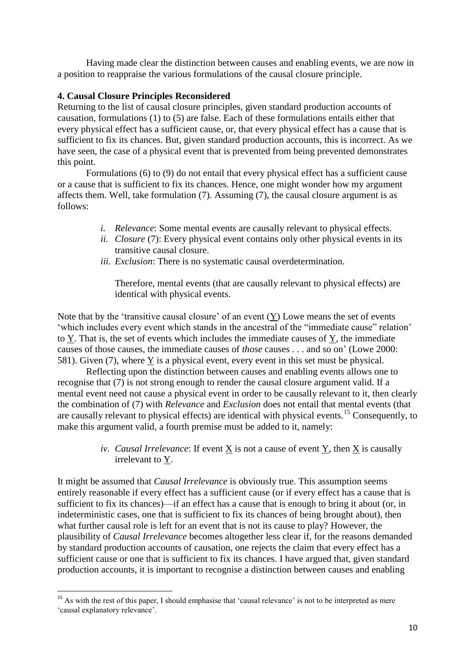Having made clear the distinction between causes and enabling events, we are now in a position to reappraise the various formulations of the causal closure principle.

# **4. Causal Closure Principles Reconsidered**

Returning to the list of causal closure principles, given standard production accounts of causation, formulations (1) to (5) are false. Each of these formulations entails either that every physical effect has a sufficient cause, or, that every physical effect has a cause that is sufficient to fix its chances. But, given standard production accounts, this is incorrect. As we have seen, the case of a physical event that is prevented from being prevented demonstrates this point.

Formulations (6) to (9) do not entail that every physical effect has a sufficient cause or a cause that is sufficient to fix its chances. Hence, one might wonder how my argument affects them. Well, take formulation (7). Assuming (7), the causal closure argument is as follows:

- *i. Relevance*: Some mental events are causally relevant to physical effects.
- *ii. Closure* (7): Every physical event contains only other physical events in its transitive causal closure.
- *iii. Exclusion*: There is no systematic causal overdetermination.

Therefore, mental events (that are causally relevant to physical effects) are identical with physical events.

Note that by the 'transitive causal closure' of an event (Y) Lowe means the set of events 'which includes every event which stands in the ancestral of the "immediate cause" relation' to Y. That is, the set of events which includes the immediate causes of Y, the immediate causes of those causes, the immediate causes of *those* causes . . . and so on' (Lowe 2000: 581). Given (7), where Y is a physical event, every event in this set must be physical.

Reflecting upon the distinction between causes and enabling events allows one to recognise that (7) is not strong enough to render the causal closure argument valid. If a mental event need not cause a physical event in order to be causally relevant to it, then clearly the combination of (7) with *Relevance* and *Exclusion* does not entail that mental events (that are causally relevant to physical effects) are identical with physical events.<sup>15</sup> Consequently, to make this argument valid, a fourth premise must be added to it, namely:

> *iv. Causal Irrelevance*: If event  $\underline{X}$  is not a cause of event  $\underline{Y}$ , then  $\underline{X}$  is causally irrelevant to Y.

It might be assumed that *Causal Irrelevance* is obviously true. This assumption seems entirely reasonable if every effect has a sufficient cause (or if every effect has a cause that is sufficient to fix its chances)—if an effect has a cause that is enough to bring it about (or, in indeterministic cases, one that is sufficient to fix its chances of being brought about), then what further causal role is left for an event that is not its cause to play? However, the plausibility of *Causal Irrelevance* becomes altogether less clear if, for the reasons demanded by standard production accounts of causation, one rejects the claim that every effect has a sufficient cause or one that is sufficient to fix its chances. I have argued that, given standard production accounts, it is important to recognise a distinction between causes and enabling

<sup>&</sup>lt;sup>15</sup> As with the rest of this paper, I should emphasise that 'causal relevance' is not to be interpreted as mere 'causal explanatory relevance'.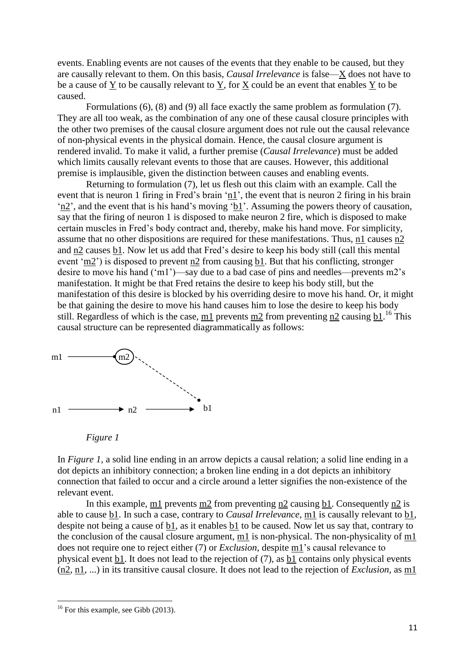events. Enabling events are not causes of the events that they enable to be caused, but they are causally relevant to them. On this basis, *Causal Irrelevance* is false—X does not have to be a cause of Y to be causally relevant to Y, for X could be an event that enables Y to be caused.

Formulations (6), (8) and (9) all face exactly the same problem as formulation (7). They are all too weak, as the combination of any one of these causal closure principles with the other two premises of the causal closure argument does not rule out the causal relevance of non-physical events in the physical domain. Hence, the causal closure argument is rendered invalid. To make it valid, a further premise (*Causal Irrelevance*) must be added which limits causally relevant events to those that are causes. However, this additional premise is implausible, given the distinction between causes and enabling events.

Returning to formulation (7), let us flesh out this claim with an example. Call the event that is neuron 1 firing in Fred's brain 'n1', the event that is neuron 2 firing in his brain 'n2', and the event that is his hand's moving 'b1'. Assuming the powers theory of causation, say that the firing of neuron 1 is disposed to make neuron 2 fire, which is disposed to make certain muscles in Fred's body contract and, thereby, make his hand move. For simplicity, assume that no other dispositions are required for these manifestations. Thus, n1 causes n2 and n2 causes b1. Now let us add that Fred's desire to keep his body still (call this mental event 'm2') is disposed to prevent n2 from causing b1. But that his conflicting, stronger desire to move his hand ('m1')—say due to a bad case of pins and needles—prevents m2's manifestation. It might be that Fred retains the desire to keep his body still, but the manifestation of this desire is blocked by his overriding desire to move his hand. Or, it might be that gaining the desire to move his hand causes him to lose the desire to keep his body still. Regardless of which is the case,  $\underline{m1}$  prevents  $\underline{m2}$  from preventing  $\underline{n2}$  causing  $\underline{b1}$ .<sup>16</sup> This causal structure can be represented diagrammatically as follows:



*Figure 1*

In *Figure 1*, a solid line ending in an arrow depicts a causal relation; a solid line ending in a dot depicts an inhibitory connection; a broken line ending in a dot depicts an inhibitory connection that failed to occur and a circle around a letter signifies the non-existence of the relevant event.

In this example, m1 prevents m2 from preventing n2 causing b1. Consequently n2 is able to cause b1. In such a case, contrary to *Causal Irrelevance*, m1 is causally relevant to b1, despite not being a cause of b1, as it enables b1 to be caused. Now let us say that, contrary to the conclusion of the causal closure argument, m1 is non-physical. The non-physicality of m1 does not require one to reject either (7) or *Exclusion*, despite m1's causal relevance to physical event b1. It does not lead to the rejection of (7), as b1 contains only physical events (n2, n1, ...) in its transitive causal closure. It does not lead to the rejection of *Exclusion,* as m1

 $16$  For this example, see Gibb (2013).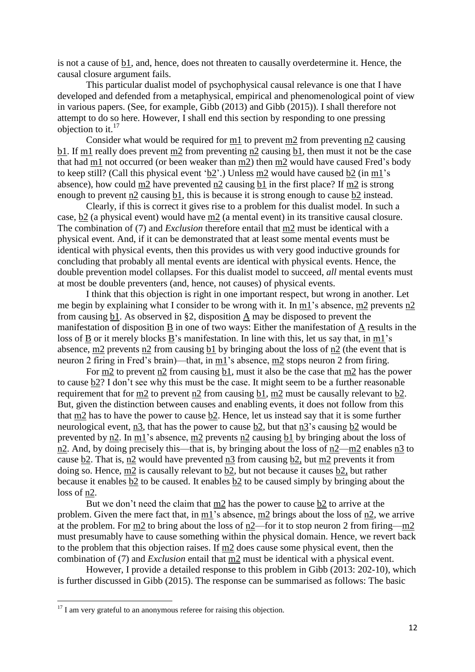is not a cause of b1, and, hence, does not threaten to causally overdetermine it. Hence, the causal closure argument fails.

This particular dualist model of psychophysical causal relevance is one that I have developed and defended from a metaphysical, empirical and phenomenological point of view in various papers. (See, for example, Gibb (2013) and Gibb (2015)). I shall therefore not attempt to do so here. However, I shall end this section by responding to one pressing objection to it. $17$ 

Consider what would be required for m1 to prevent m2 from preventing n2 causing  $\underline{b1}$ . If <u>m1</u> really does prevent <u>m2</u> from preventing  $\underline{n2}$  causing  $\underline{b1}$ , then must it not be the case that had m1 not occurred (or been weaker than m2) then m2 would have caused Fred's body to keep still? (Call this physical event 'b2'.) Unless m2 would have caused b2 (in m1's absence), how could m2 have prevented n2 causing b1 in the first place? If m2 is strong enough to prevent n2 causing b1, this is because it is strong enough to cause b2 instead.

Clearly, if this is correct it gives rise to a problem for this dualist model. In such a case, b2 (a physical event) would have m2 (a mental event) in its transitive causal closure. The combination of (7) and *Exclusion* therefore entail that m2 must be identical with a physical event. And, if it can be demonstrated that at least some mental events must be identical with physical events, then this provides us with very good inductive grounds for concluding that probably all mental events are identical with physical events. Hence, the double prevention model collapses. For this dualist model to succeed, *all* mental events must at most be double preventers (and, hence, not causes) of physical events.

I think that this objection is right in one important respect, but wrong in another. Let me begin by explaining what I consider to be wrong with it. In m1's absence, m2 prevents n2 from causing b1. As observed in §2, disposition A may be disposed to prevent the manifestation of disposition B in one of two ways: Either the manifestation of A results in the loss of B or it merely blocks B's manifestation. In line with this, let us say that, in m1's absence, m2 prevents n2 from causing b1 by bringing about the loss of n2 (the event that is neuron 2 firing in Fred's brain)—that, in m1's absence, m2 stops neuron 2 from firing.

For m2 to prevent n2 from causing b1, must it also be the case that  $\underline{m2}$  has the power to cause b2? I don't see why this must be the case. It might seem to be a further reasonable requirement that for m2 to prevent n2 from causing b1, m2 must be causally relevant to b2. But, given the distinction between causes and enabling events, it does not follow from this that m2 has to have the power to cause b2. Hence, let us instead say that it is some further neurological event, n3, that has the power to cause b2, but that n3's causing b2 would be prevented by n2. In m1's absence, m2 prevents n2 causing b1 by bringing about the loss of n2. And, by doing precisely this—that is, by bringing about the loss of  $n2$ — $m2$  enables  $n3$  to cause b2. That is, n2 would have prevented n3 from causing b2, but m2 prevents it from doing so. Hence, m2 is causally relevant to b2, but not because it causes b2, but rather because it enables b2 to be caused. It enables b2 to be caused simply by bringing about the loss of n2.

But we don't need the claim that m2 has the power to cause b2 to arrive at the problem. Given the mere fact that, in m1's absence, m2 brings about the loss of n2, we arrive at the problem. For m2 to bring about the loss of n2—for it to stop neuron 2 from firing—m2 must presumably have to cause something within the physical domain. Hence, we revert back to the problem that this objection raises. If m2 does cause some physical event, then the combination of (7) and *Exclusion* entail that m2 must be identical with a physical event.

However, I provide a detailed response to this problem in Gibb (2013: 202-10), which is further discussed in Gibb (2015). The response can be summarised as follows: The basic

 $17$  I am very grateful to an anonymous referee for raising this objection.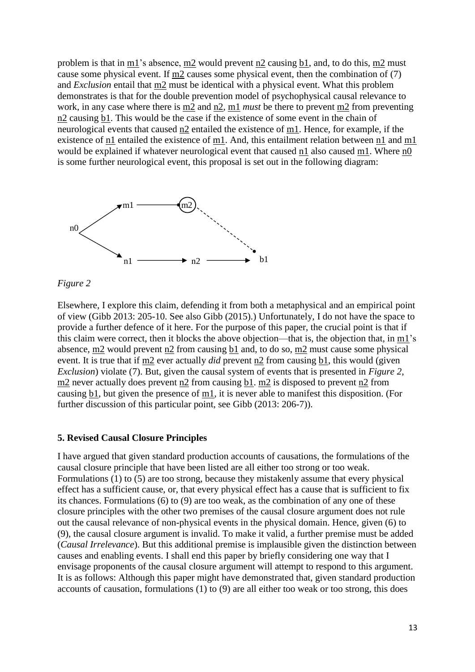problem is that in m1's absence, m2 would prevent n2 causing b1, and, to do this, m2 must cause some physical event. If  $m2$  causes some physical event, then the combination of (7) and *Exclusion* entail that m2 must be identical with a physical event. What this problem demonstrates is that for the double prevention model of psychophysical causal relevance to work, in any case where there is m2 and n2, m1 *must* be there to prevent m2 from preventing n2 causing b1. This would be the case if the existence of some event in the chain of neurological events that caused n2 entailed the existence of m1. Hence, for example, if the existence of n1 entailed the existence of m1. And, this entailment relation between n1 and m1 would be explained if whatever neurological event that caused  $n1$  also caused  $m1$ . Where  $n0$ is some further neurological event, this proposal is set out in the following diagram:





Elsewhere, I explore this claim, defending it from both a metaphysical and an empirical point of view (Gibb 2013: 205-10. See also Gibb (2015).) Unfortunately, I do not have the space to provide a further defence of it here. For the purpose of this paper, the crucial point is that if this claim were correct, then it blocks the above objection—that is, the objection that, in m1's absence, m2 would prevent n2 from causing b1 and, to do so, m2 must cause some physical event. It is true that if m2 ever actually *did* prevent n2 from causing b1, this would (given *Exclusion*) violate (7). But, given the causal system of events that is presented in *Figure 2*, m2 never actually does prevent n2 from causing b1. m2 is disposed to prevent n2 from causing b1, but given the presence of m1, it is never able to manifest this disposition. (For further discussion of this particular point, see Gibb (2013: 206-7)).

# **5. Revised Causal Closure Principles**

I have argued that given standard production accounts of causations, the formulations of the causal closure principle that have been listed are all either too strong or too weak. Formulations (1) to (5) are too strong, because they mistakenly assume that every physical effect has a sufficient cause, or, that every physical effect has a cause that is sufficient to fix its chances. Formulations (6) to (9) are too weak, as the combination of any one of these closure principles with the other two premises of the causal closure argument does not rule out the causal relevance of non-physical events in the physical domain. Hence, given (6) to (9), the causal closure argument is invalid. To make it valid, a further premise must be added (*Causal Irrelevance*). But this additional premise is implausible given the distinction between causes and enabling events. I shall end this paper by briefly considering one way that I envisage proponents of the causal closure argument will attempt to respond to this argument. It is as follows: Although this paper might have demonstrated that, given standard production accounts of causation, formulations (1) to (9) are all either too weak or too strong, this does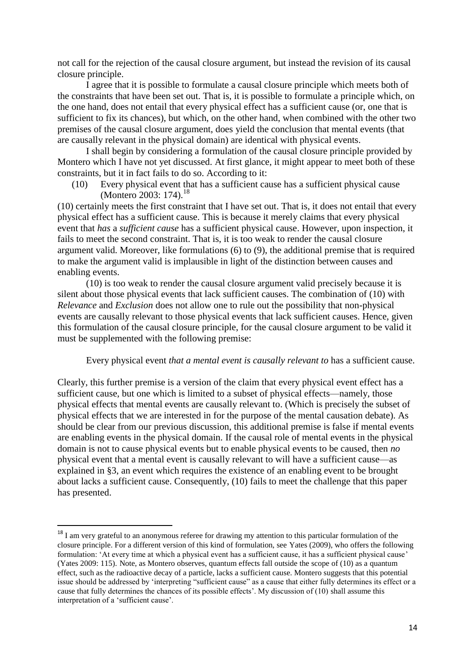not call for the rejection of the causal closure argument, but instead the revision of its causal closure principle.

I agree that it is possible to formulate a causal closure principle which meets both of the constraints that have been set out. That is, it is possible to formulate a principle which, on the one hand, does not entail that every physical effect has a sufficient cause (or, one that is sufficient to fix its chances), but which, on the other hand, when combined with the other two premises of the causal closure argument, does yield the conclusion that mental events (that are causally relevant in the physical domain) are identical with physical events.

I shall begin by considering a formulation of the causal closure principle provided by Montero which I have not yet discussed. At first glance, it might appear to meet both of these constraints, but it in fact fails to do so. According to it:

(10) Every physical event that has a sufficient cause has a sufficient physical cause (Montero 2003: 174).<sup>18</sup>

(10) certainly meets the first constraint that I have set out. That is, it does not entail that every physical effect has a sufficient cause. This is because it merely claims that every physical event that *has* a *sufficient cause* has a sufficient physical cause. However, upon inspection, it fails to meet the second constraint. That is, it is too weak to render the causal closure argument valid. Moreover, like formulations (6) to (9), the additional premise that is required to make the argument valid is implausible in light of the distinction between causes and enabling events.

(10) is too weak to render the causal closure argument valid precisely because it is silent about those physical events that lack sufficient causes. The combination of (10) with *Relevance* and *Exclusion* does not allow one to rule out the possibility that non-physical events are causally relevant to those physical events that lack sufficient causes. Hence, given this formulation of the causal closure principle, for the causal closure argument to be valid it must be supplemented with the following premise:

Every physical event *that a mental event is causally relevant to* has a sufficient cause.

Clearly, this further premise is a version of the claim that every physical event effect has a sufficient cause, but one which is limited to a subset of physical effects—namely, those physical effects that mental events are causally relevant to. (Which is precisely the subset of physical effects that we are interested in for the purpose of the mental causation debate). As should be clear from our previous discussion, this additional premise is false if mental events are enabling events in the physical domain. If the causal role of mental events in the physical domain is not to cause physical events but to enable physical events to be caused, then *no* physical event that a mental event is causally relevant to will have a sufficient cause—as explained in §3, an event which requires the existence of an enabling event to be brought about lacks a sufficient cause. Consequently, (10) fails to meet the challenge that this paper has presented.

1

<sup>&</sup>lt;sup>18</sup> I am very grateful to an anonymous referee for drawing my attention to this particular formulation of the closure principle. For a different version of this kind of formulation, see Yates (2009), who offers the following formulation: 'At every time at which a physical event has a sufficient cause, it has a sufficient physical cause' (Yates 2009: 115). Note, as Montero observes, quantum effects fall outside the scope of (10) as a quantum effect, such as the radioactive decay of a particle, lacks a sufficient cause. Montero suggests that this potential issue should be addressed by 'interpreting "sufficient cause" as a cause that either fully determines its effect or a cause that fully determines the chances of its possible effects'. My discussion of (10) shall assume this interpretation of a 'sufficient cause'.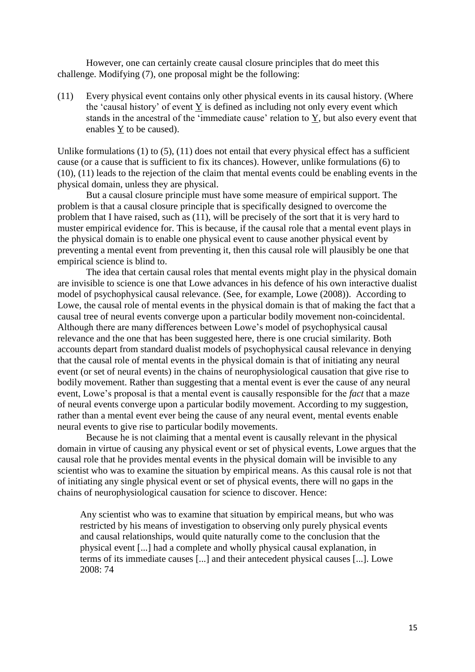However, one can certainly create causal closure principles that do meet this challenge. Modifying (7), one proposal might be the following:

(11) Every physical event contains only other physical events in its causal history. (Where the 'causal history' of event Y is defined as including not only every event which stands in the ancestral of the 'immediate cause' relation to Y, but also every event that enables Y to be caused).

Unlike formulations (1) to (5), (11) does not entail that every physical effect has a sufficient cause (or a cause that is sufficient to fix its chances). However, unlike formulations (6) to (10), (11) leads to the rejection of the claim that mental events could be enabling events in the physical domain, unless they are physical.

But a causal closure principle must have some measure of empirical support. The problem is that a causal closure principle that is specifically designed to overcome the problem that I have raised, such as (11), will be precisely of the sort that it is very hard to muster empirical evidence for. This is because, if the causal role that a mental event plays in the physical domain is to enable one physical event to cause another physical event by preventing a mental event from preventing it, then this causal role will plausibly be one that empirical science is blind to.

The idea that certain causal roles that mental events might play in the physical domain are invisible to science is one that Lowe advances in his defence of his own interactive dualist model of psychophysical causal relevance. (See, for example, Lowe (2008)). According to Lowe, the causal role of mental events in the physical domain is that of making the fact that a causal tree of neural events converge upon a particular bodily movement non-coincidental. Although there are many differences between Lowe's model of psychophysical causal relevance and the one that has been suggested here, there is one crucial similarity. Both accounts depart from standard dualist models of psychophysical causal relevance in denying that the causal role of mental events in the physical domain is that of initiating any neural event (or set of neural events) in the chains of neurophysiological causation that give rise to bodily movement. Rather than suggesting that a mental event is ever the cause of any neural event, Lowe's proposal is that a mental event is causally responsible for the *fact* that a maze of neural events converge upon a particular bodily movement. According to my suggestion, rather than a mental event ever being the cause of any neural event, mental events enable neural events to give rise to particular bodily movements.

Because he is not claiming that a mental event is causally relevant in the physical domain in virtue of causing any physical event or set of physical events, Lowe argues that the causal role that he provides mental events in the physical domain will be invisible to any scientist who was to examine the situation by empirical means. As this causal role is not that of initiating any single physical event or set of physical events, there will no gaps in the chains of neurophysiological causation for science to discover. Hence:

Any scientist who was to examine that situation by empirical means, but who was restricted by his means of investigation to observing only purely physical events and causal relationships, would quite naturally come to the conclusion that the physical event [...] had a complete and wholly physical causal explanation, in terms of its immediate causes [...] and their antecedent physical causes [...]. Lowe 2008: 74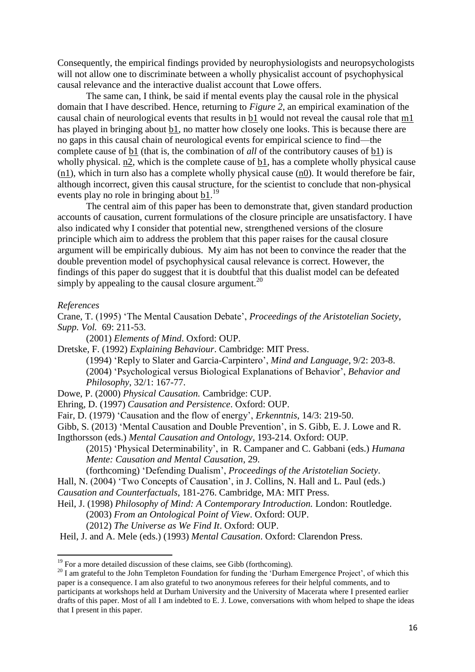Consequently, the empirical findings provided by neurophysiologists and neuropsychologists will not allow one to discriminate between a wholly physicalist account of psychophysical causal relevance and the interactive dualist account that Lowe offers.

The same can, I think, be said if mental events play the causal role in the physical domain that I have described. Hence, returning to *Figure 2*, an empirical examination of the causal chain of neurological events that results in b1 would not reveal the causal role that m1 has played in bringing about b1, no matter how closely one looks. This is because there are no gaps in this causal chain of neurological events for empirical science to find—the complete cause of b1 (that is, the combination of *all* of the contributory causes of b1) is wholly physical. n2, which is the complete cause of b1, has a complete wholly physical cause (n1), which in turn also has a complete wholly physical cause (n0). It would therefore be fair, although incorrect, given this causal structure, for the scientist to conclude that non-physical events play no role in bringing about  $b1$ .<sup>19</sup>

The central aim of this paper has been to demonstrate that, given standard production accounts of causation, current formulations of the closure principle are unsatisfactory. I have also indicated why I consider that potential new, strengthened versions of the closure principle which aim to address the problem that this paper raises for the causal closure argument will be empirically dubious. My aim has not been to convince the reader that the double prevention model of psychophysical causal relevance is correct. However, the findings of this paper do suggest that it is doubtful that this dualist model can be defeated simply by appealing to the causal closure argument.<sup>20</sup>

#### *References*

1

Crane, T. (1995) 'The Mental Causation Debate', *Proceedings of the Aristotelian Society*, *Supp. Vol.* 69: 211-53.

(2001) *Elements of Mind*. Oxford: OUP.

Dretske, F. (1992) *Explaining Behaviour*. Cambridge: MIT Press.

(1994) 'Reply to Slater and Garcia-Carpintero', *Mind and Language*, 9/2: 203-8. (2004) 'Psychological versus Biological Explanations of Behavior', *Behavior and Philosophy*, 32/1: 167-77.

Dowe, P. (2000) *Physical Causation.* Cambridge: CUP.

Ehring, D. (1997) *Causation and Persistence*. Oxford: OUP.

Fair, D. (1979) 'Causation and the flow of energy', *Erkenntnis*, 14/3: 219-50.

Gibb, S. (2013) 'Mental Causation and Double Prevention', in S. Gibb, E. J. Lowe and R.

Ingthorsson (eds.) *Mental Causation and Ontology*, 193-214. Oxford: OUP.

(2015) 'Physical Determinability', in R. Campaner and C. Gabbani (eds.) *Humana Mente: Causation and Mental Causation*, 29.

(forthcoming) 'Defending Dualism', *Proceedings of the Aristotelian Society*.

Hall, N. (2004) 'Two Concepts of Causation', in J. Collins, N. Hall and L. Paul (eds.)

*Causation and Counterfactuals*, 181-276. Cambridge, MA: MIT Press.

Heil, J. (1998) *Philosophy of Mind: A Contemporary Introduction.* London: Routledge.

(2003) *From an Ontological Point of View*. Oxford: OUP.

(2012) *The Universe as We Find It*. Oxford: OUP.

Heil, J. and A. Mele (eds.) (1993) *Mental Causation*. Oxford: Clarendon Press.

 $19$  For a more detailed discussion of these claims, see Gibb (forthcoming).

<sup>&</sup>lt;sup>20</sup> I am grateful to the John Templeton Foundation for funding the 'Durham Emergence Project', of which this paper is a consequence. I am also grateful to two anonymous referees for their helpful comments, and to participants at workshops held at Durham University and the University of Macerata where I presented earlier drafts of this paper. Most of all I am indebted to E. J. Lowe, conversations with whom helped to shape the ideas that I present in this paper.